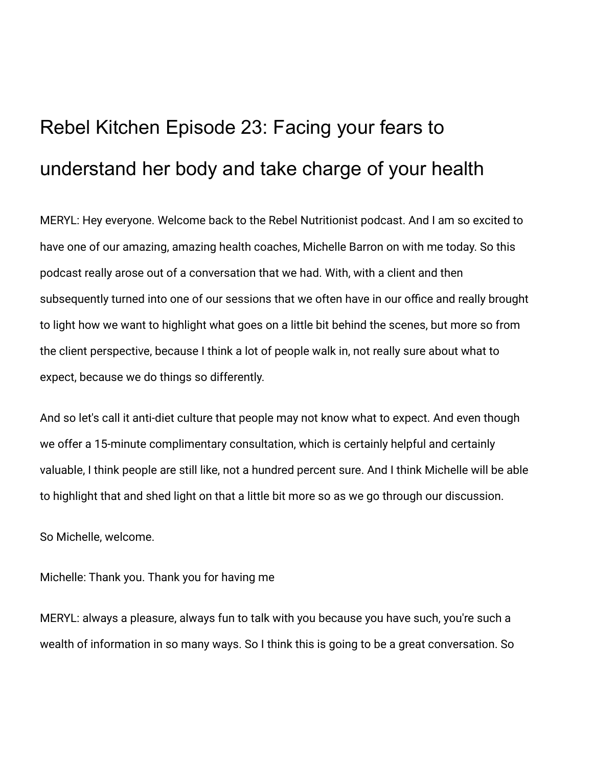# Rebel Kitchen Episode 23: Facing your fears to understand her body and take charge of your health

MERYL: Hey everyone. Welcome back to the Rebel Nutritionist podcast. And I am so excited to have one of our amazing, amazing health coaches, Michelle Barron on with me today. So this podcast really arose out of a conversation that we had. With, with a client and then subsequently turned into one of our sessions that we often have in our office and really brought to light how we want to highlight what goes on a little bit behind the scenes, but more so from the client perspective, because I think a lot of people walk in, not really sure about what to expect, because we do things so differently.

And so let's call it anti-diet culture that people may not know what to expect. And even though we offer a 15-minute complimentary consultation, which is certainly helpful and certainly valuable, I think people are still like, not a hundred percent sure. And I think Michelle will be able to highlight that and shed light on that a little bit more so as we go through our discussion.

So Michelle, welcome.

Michelle: Thank you. Thank you for having me

MERYL: always a pleasure, always fun to talk with you because you have such, you're such a wealth of information in so many ways. So I think this is going to be a great conversation. So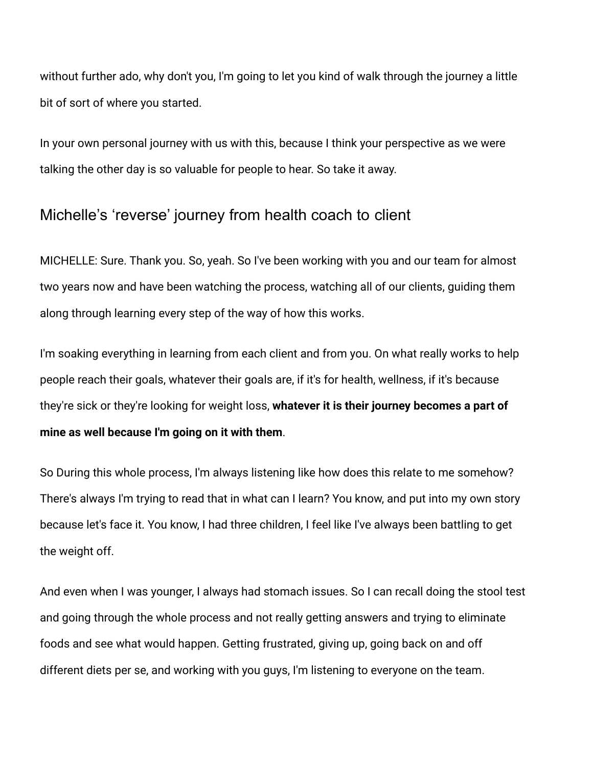without further ado, why don't you, I'm going to let you kind of walk through the journey a little bit of sort of where you started.

In your own personal journey with us with this, because I think your perspective as we were talking the other day is so valuable for people to hear. So take it away.

# Michelle's 'reverse' journey from health coach to client

MICHELLE: Sure. Thank you. So, yeah. So I've been working with you and our team for almost two years now and have been watching the process, watching all of our clients, guiding them along through learning every step of the way of how this works.

I'm soaking everything in learning from each client and from you. On what really works to help people reach their goals, whatever their goals are, if it's for health, wellness, if it's because they're sick or they're looking for weight loss, **whatever it is their journey becomes a part of mine as well because I'm going on it with them**.

So During this whole process, I'm always listening like how does this relate to me somehow? There's always I'm trying to read that in what can I learn? You know, and put into my own story because let's face it. You know, I had three children, I feel like I've always been battling to get the weight off.

And even when I was younger, I always had stomach issues. So I can recall doing the stool test and going through the whole process and not really getting answers and trying to eliminate foods and see what would happen. Getting frustrated, giving up, going back on and off different diets per se, and working with you guys, I'm listening to everyone on the team.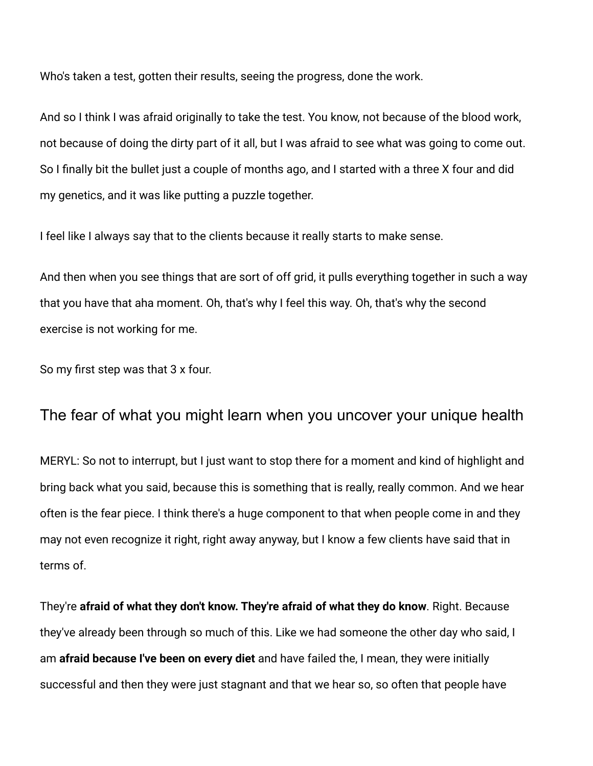Who's taken a test, gotten their results, seeing the progress, done the work.

And so I think I was afraid originally to take the test. You know, not because of the blood work, not because of doing the dirty part of it all, but I was afraid to see what was going to come out. So I finally bit the bullet just a couple of months ago, and I started with a three X four and did my genetics, and it was like putting a puzzle together.

I feel like I always say that to the clients because it really starts to make sense.

And then when you see things that are sort of off grid, it pulls everything together in such a way that you have that aha moment. Oh, that's why I feel this way. Oh, that's why the second exercise is not working for me.

So my first step was that 3 x four.

#### The fear of what you might learn when you uncover your unique health

MERYL: So not to interrupt, but I just want to stop there for a moment and kind of highlight and bring back what you said, because this is something that is really, really common. And we hear often is the fear piece. I think there's a huge component to that when people come in and they may not even recognize it right, right away anyway, but I know a few clients have said that in terms of.

They're **afraid of what they don't know. They're afraid of what they do know**. Right. Because they've already been through so much of this. Like we had someone the other day who said, I am **afraid because I've been on every diet** and have failed the, I mean, they were initially successful and then they were just stagnant and that we hear so, so often that people have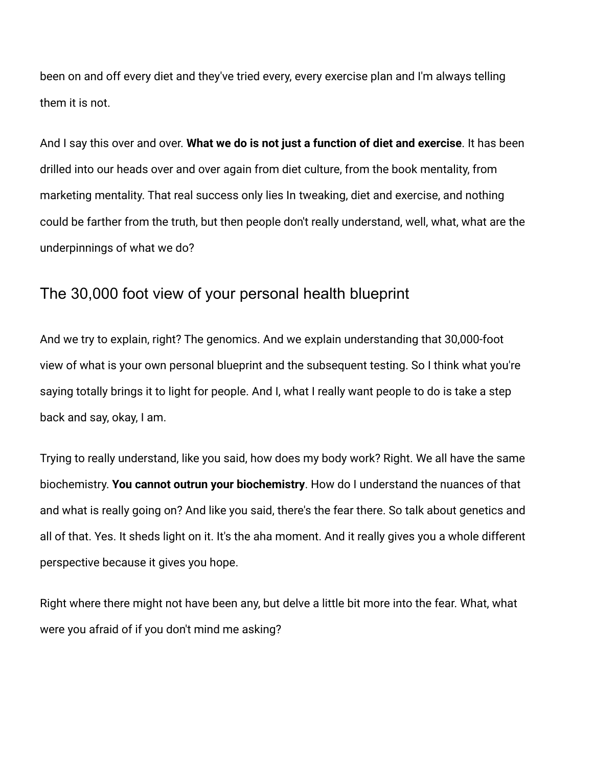been on and off every diet and they've tried every, every exercise plan and I'm always telling them it is not.

And I say this over and over. **What we do is not just a function of diet and exercise**. It has been drilled into our heads over and over again from diet culture, from the book mentality, from marketing mentality. That real success only lies In tweaking, diet and exercise, and nothing could be farther from the truth, but then people don't really understand, well, what, what are the underpinnings of what we do?

# The 30,000 foot view of your personal health blueprint

And we try to explain, right? The genomics. And we explain understanding that 30,000-foot view of what is your own personal blueprint and the subsequent testing. So I think what you're saying totally brings it to light for people. And I, what I really want people to do is take a step back and say, okay, I am.

Trying to really understand, like you said, how does my body work? Right. We all have the same biochemistry. **You cannot outrun your biochemistry**. How do I understand the nuances of that and what is really going on? And like you said, there's the fear there. So talk about genetics and all of that. Yes. It sheds light on it. It's the aha moment. And it really gives you a whole different perspective because it gives you hope.

Right where there might not have been any, but delve a little bit more into the fear. What, what were you afraid of if you don't mind me asking?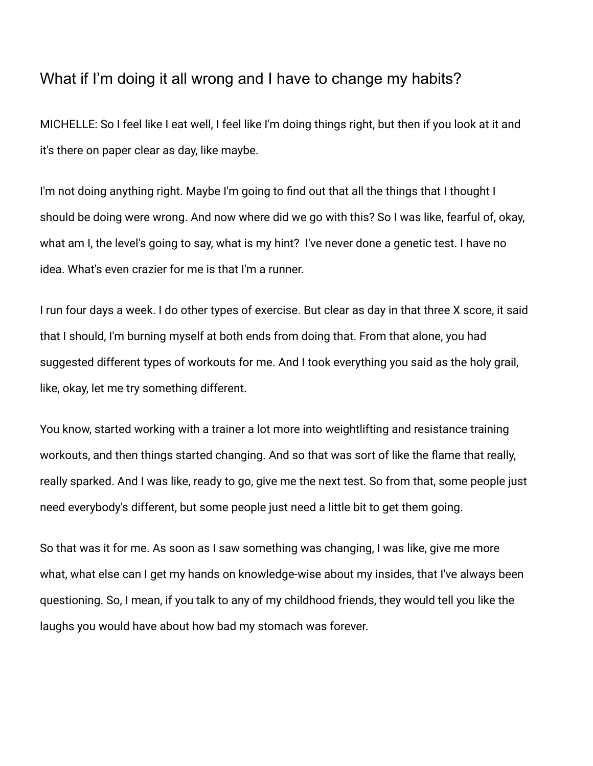# What if I'm doing it all wrong and I have to change my habits?

MICHELLE: So I feel like I eat well, I feel like I'm doing things right, but then if you look at it and it's there on paper clear as day, like maybe.

I'm not doing anything right. Maybe I'm going to find out that all the things that I thought I should be doing were wrong. And now where did we go with this? So I was like, fearful of, okay, what am I, the level's going to say, what is my hint? I've never done a genetic test. I have no idea. What's even crazier for me is that I'm a runner.

I run four days a week. I do other types of exercise. But clear as day in that three X score, it said that I should, I'm burning myself at both ends from doing that. From that alone, you had suggested different types of workouts for me. And I took everything you said as the holy grail, like, okay, let me try something different.

You know, started working with a trainer a lot more into weightlifting and resistance training workouts, and then things started changing. And so that was sort of like the flame that really, really sparked. And I was like, ready to go, give me the next test. So from that, some people just need everybody's different, but some people just need a little bit to get them going.

So that was it for me. As soon as I saw something was changing, I was like, give me more what, what else can I get my hands on knowledge-wise about my insides, that I've always been questioning. So, I mean, if you talk to any of my childhood friends, they would tell you like the laughs you would have about how bad my stomach was forever.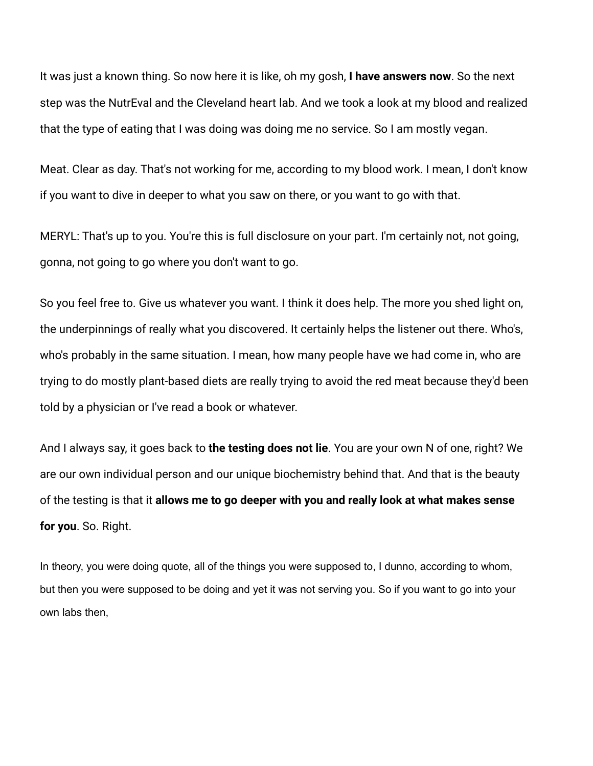It was just a known thing. So now here it is like, oh my gosh, **I have answers now**. So the next step was the NutrEval and the Cleveland heart lab. And we took a look at my blood and realized that the type of eating that I was doing was doing me no service. So I am mostly vegan.

Meat. Clear as day. That's not working for me, according to my blood work. I mean, I don't know if you want to dive in deeper to what you saw on there, or you want to go with that.

MERYL: That's up to you. You're this is full disclosure on your part. I'm certainly not, not going, gonna, not going to go where you don't want to go.

So you feel free to. Give us whatever you want. I think it does help. The more you shed light on, the underpinnings of really what you discovered. It certainly helps the listener out there. Who's, who's probably in the same situation. I mean, how many people have we had come in, who are trying to do mostly plant-based diets are really trying to avoid the red meat because they'd been told by a physician or I've read a book or whatever.

And I always say, it goes back to **the testing does not lie**. You are your own N of one, right? We are our own individual person and our unique biochemistry behind that. And that is the beauty of the testing is that it **allows me to go deeper with you and really look at what makes sense for you**. So. Right.

In theory, you were doing quote, all of the things you were supposed to, I dunno, according to whom, but then you were supposed to be doing and yet it was not serving you. So if you want to go into your own labs then,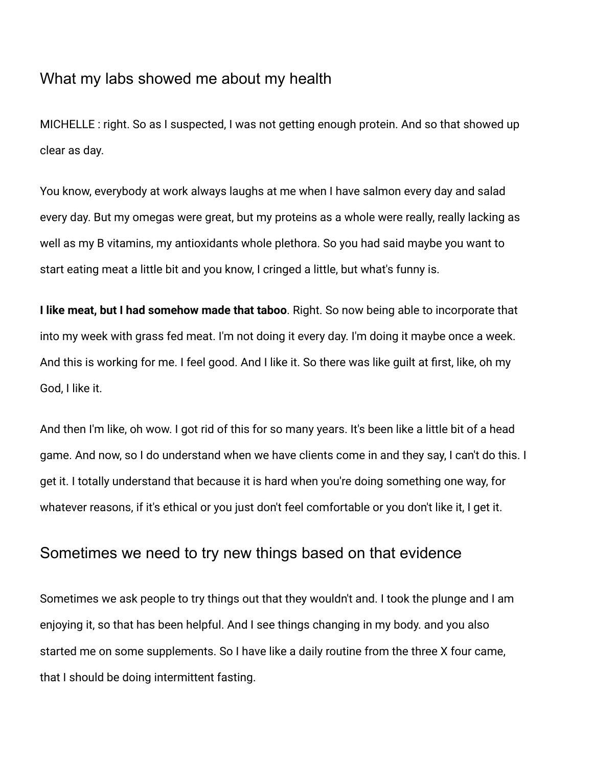## What my labs showed me about my health

MICHELLE : right. So as I suspected, I was not getting enough protein. And so that showed up clear as day.

You know, everybody at work always laughs at me when I have salmon every day and salad every day. But my omegas were great, but my proteins as a whole were really, really lacking as well as my B vitamins, my antioxidants whole plethora. So you had said maybe you want to start eating meat a little bit and you know, I cringed a little, but what's funny is.

**I like meat, but I had somehow made that taboo**. Right. So now being able to incorporate that into my week with grass fed meat. I'm not doing it every day. I'm doing it maybe once a week. And this is working for me. I feel good. And I like it. So there was like guilt at first, like, oh my God, I like it.

And then I'm like, oh wow. I got rid of this for so many years. It's been like a little bit of a head game. And now, so I do understand when we have clients come in and they say, I can't do this. I get it. I totally understand that because it is hard when you're doing something one way, for whatever reasons, if it's ethical or you just don't feel comfortable or you don't like it, I get it.

### Sometimes we need to try new things based on that evidence

Sometimes we ask people to try things out that they wouldn't and. I took the plunge and I am enjoying it, so that has been helpful. And I see things changing in my body. and you also started me on some supplements. So I have like a daily routine from the three X four came, that I should be doing intermittent fasting.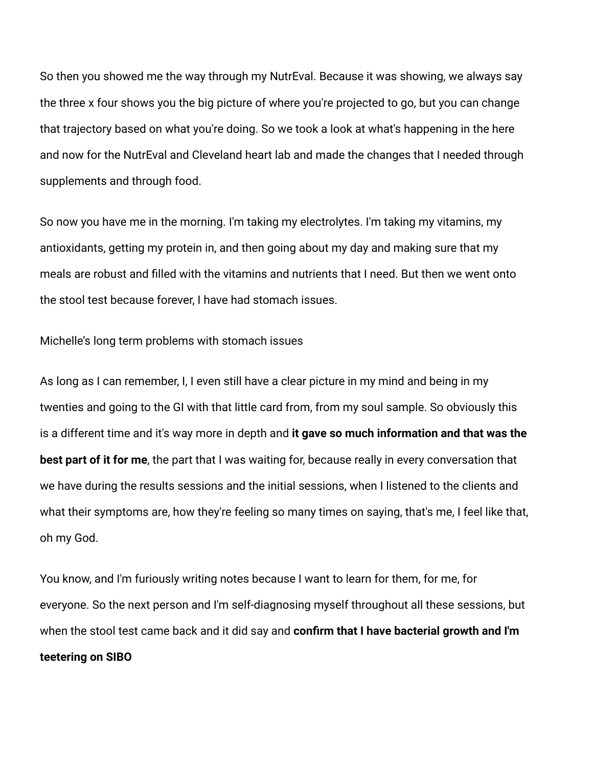So then you showed me the way through my NutrEval. Because it was showing, we always say the three x four shows you the big picture of where you're projected to go, but you can change that trajectory based on what you're doing. So we took a look at what's happening in the here and now for the NutrEval and Cleveland heart lab and made the changes that I needed through supplements and through food.

So now you have me in the morning. I'm taking my electrolytes. I'm taking my vitamins, my antioxidants, getting my protein in, and then going about my day and making sure that my meals are robust and filled with the vitamins and nutrients that I need. But then we went onto the stool test because forever, I have had stomach issues.

Michelle's long term problems with stomach issues

As long as I can remember, I, I even still have a clear picture in my mind and being in my twenties and going to the GI with that little card from, from my soul sample. So obviously this is a different time and it's way more in depth and **it gave so much information and that was the best part of it for me**, the part that I was waiting for, because really in every conversation that we have during the results sessions and the initial sessions, when I listened to the clients and what their symptoms are, how they're feeling so many times on saying, that's me, I feel like that, oh my God.

You know, and I'm furiously writing notes because I want to learn for them, for me, for everyone. So the next person and I'm self-diagnosing myself throughout all these sessions, but when the stool test came back and it did say and **confirm that I have bacterial growth and I'm teetering on SIBO**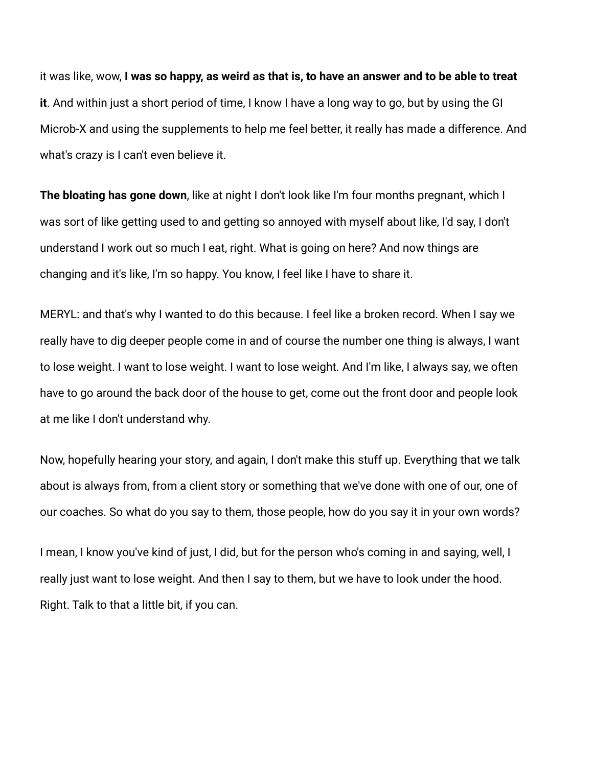it was like, wow, **I was so happy, as weird as that is, to have an answer and to be able to treat it**. And within just a short period of time, I know I have a long way to go, but by using the GI Microb-X and using the supplements to help me feel better, it really has made a difference. And what's crazy is I can't even believe it.

**The bloating has gone down**, like at night I don't look like I'm four months pregnant, which I was sort of like getting used to and getting so annoyed with myself about like, I'd say, I don't understand I work out so much I eat, right. What is going on here? And now things are changing and it's like, I'm so happy. You know, I feel like I have to share it.

MERYL: and that's why I wanted to do this because. I feel like a broken record. When I say we really have to dig deeper people come in and of course the number one thing is always, I want to lose weight. I want to lose weight. I want to lose weight. And I'm like, I always say, we often have to go around the back door of the house to get, come out the front door and people look at me like I don't understand why.

Now, hopefully hearing your story, and again, I don't make this stuff up. Everything that we talk about is always from, from a client story or something that we've done with one of our, one of our coaches. So what do you say to them, those people, how do you say it in your own words?

I mean, I know you've kind of just, I did, but for the person who's coming in and saying, well, I really just want to lose weight. And then I say to them, but we have to look under the hood. Right. Talk to that a little bit, if you can.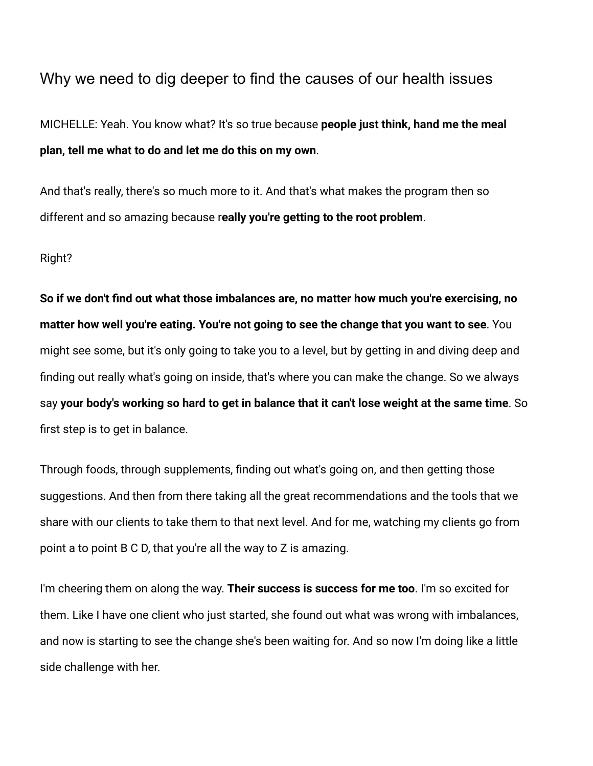# Why we need to dig deeper to find the causes of our health issues

MICHELLE: Yeah. You know what? It's so true because **people just think, hand me the meal plan, tell me what to do and let me do this on my own**.

And that's really, there's so much more to it. And that's what makes the program then so different and so amazing because r**eally you're getting to the root problem**.

#### Right?

**So if we don't find out what those imbalances are, no matter how much you're exercising, no matter how well you're eating. You're not going to see the change that you want to see**. You might see some, but it's only going to take you to a level, but by getting in and diving deep and finding out really what's going on inside, that's where you can make the change. So we always say **your body's working so hard to get in balance that it can't lose weight at the same time**. So first step is to get in balance.

Through foods, through supplements, finding out what's going on, and then getting those suggestions. And then from there taking all the great recommendations and the tools that we share with our clients to take them to that next level. And for me, watching my clients go from point a to point B C D, that you're all the way to Z is amazing.

I'm cheering them on along the way. **Their success is success for me too**. I'm so excited for them. Like I have one client who just started, she found out what was wrong with imbalances, and now is starting to see the change she's been waiting for. And so now I'm doing like a little side challenge with her.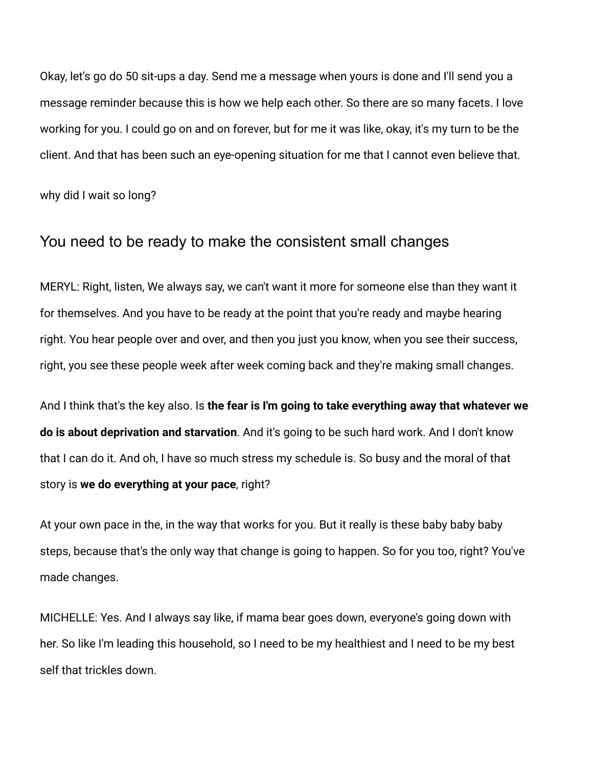Okay, let's go do 50 sit-ups a day. Send me a message when yours is done and I'll send you a message reminder because this is how we help each other. So there are so many facets. I love working for you. I could go on and on forever, but for me it was like, okay, it's my turn to be the client. And that has been such an eye-opening situation for me that I cannot even believe that.

why did I wait so long?

# You need to be ready to make the consistent small changes

MERYL: Right, listen, We always say, we can't want it more for someone else than they want it for themselves. And you have to be ready at the point that you're ready and maybe hearing right. You hear people over and over, and then you just you know, when you see their success, right, you see these people week after week coming back and they're making small changes.

And I think that's the key also. Is **the fear is I'm going to take everything away that whatever we do is about deprivation and starvation**. And it's going to be such hard work. And I don't know that I can do it. And oh, I have so much stress my schedule is. So busy and the moral of that story is **we do everything at your pace**, right?

At your own pace in the, in the way that works for you. But it really is these baby baby baby steps, because that's the only way that change is going to happen. So for you too, right? You've made changes.

MICHELLE: Yes. And I always say like, if mama bear goes down, everyone's going down with her. So like I'm leading this household, so I need to be my healthiest and I need to be my best self that trickles down.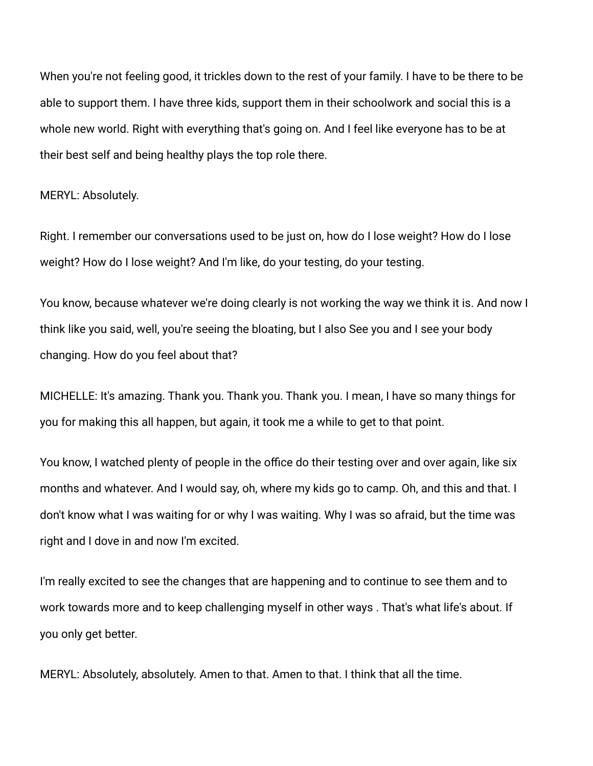When you're not feeling good, it trickles down to the rest of your family. I have to be there to be able to support them. I have three kids, support them in their schoolwork and social this is a whole new world. Right with everything that's going on. And I feel like everyone has to be at their best self and being healthy plays the top role there.

#### MERYL: Absolutely.

Right. I remember our conversations used to be just on, how do I lose weight? How do I lose weight? How do I lose weight? And I'm like, do your testing, do your testing.

You know, because whatever we're doing clearly is not working the way we think it is. And now I think like you said, well, you're seeing the bloating, but I also See you and I see your body changing. How do you feel about that?

MICHELLE: It's amazing. Thank you. Thank you. Thank you. I mean, I have so many things for you for making this all happen, but again, it took me a while to get to that point.

You know, I watched plenty of people in the office do their testing over and over again, like six months and whatever. And I would say, oh, where my kids go to camp. Oh, and this and that. I don't know what I was waiting for or why I was waiting. Why I was so afraid, but the time was right and I dove in and now I'm excited.

I'm really excited to see the changes that are happening and to continue to see them and to work towards more and to keep challenging myself in other ways . That's what life's about. If you only get better.

MERYL: Absolutely, absolutely. Amen to that. Amen to that. I think that all the time.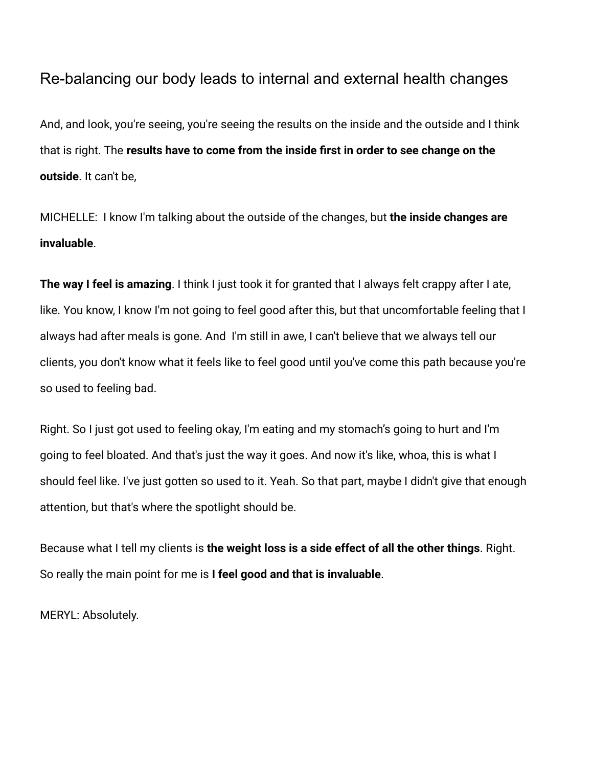# Re-balancing our body leads to internal and external health changes

And, and look, you're seeing, you're seeing the results on the inside and the outside and I think that is right. The **results have to come from the inside first in order to see change on the outside**. It can't be,

MICHELLE: I know I'm talking about the outside of the changes, but **the inside changes are invaluable**.

**The way I feel is amazing**. I think I just took it for granted that I always felt crappy after I ate, like. You know, I know I'm not going to feel good after this, but that uncomfortable feeling that I always had after meals is gone. And I'm still in awe, I can't believe that we always tell our clients, you don't know what it feels like to feel good until you've come this path because you're so used to feeling bad.

Right. So I just got used to feeling okay, I'm eating and my stomach's going to hurt and I'm going to feel bloated. And that's just the way it goes. And now it's like, whoa, this is what I should feel like. I've just gotten so used to it. Yeah. So that part, maybe I didn't give that enough attention, but that's where the spotlight should be.

Because what I tell my clients is **the weight loss is a side effect of all the other things**. Right. So really the main point for me is **I feel good and that is invaluable**.

MERYL: Absolutely.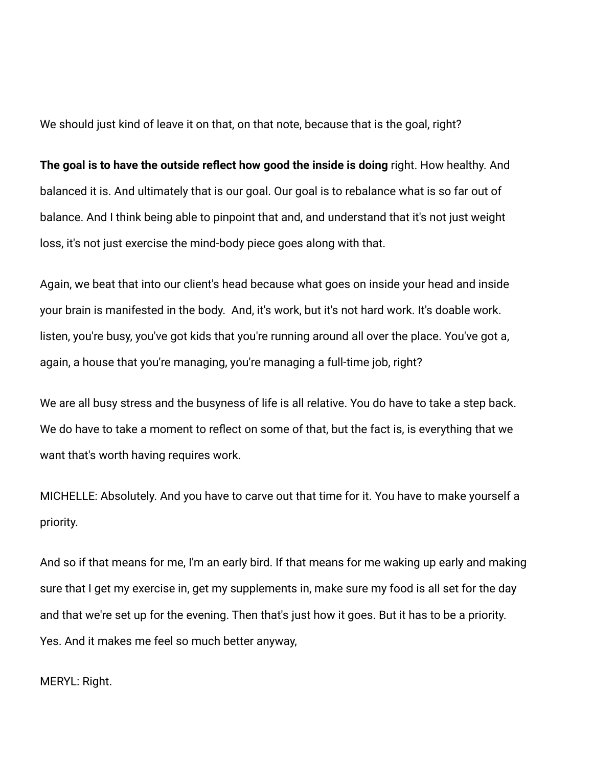We should just kind of leave it on that, on that note, because that is the goal, right?

**The goal is to have the outside reflect how good the inside is doing** right. How healthy. And balanced it is. And ultimately that is our goal. Our goal is to rebalance what is so far out of balance. And I think being able to pinpoint that and, and understand that it's not just weight loss, it's not just exercise the mind-body piece goes along with that.

Again, we beat that into our client's head because what goes on inside your head and inside your brain is manifested in the body. And, it's work, but it's not hard work. It's doable work. listen, you're busy, you've got kids that you're running around all over the place. You've got a, again, a house that you're managing, you're managing a full-time job, right?

We are all busy stress and the busyness of life is all relative. You do have to take a step back. We do have to take a moment to reflect on some of that, but the fact is, is everything that we want that's worth having requires work.

MICHELLE: Absolutely. And you have to carve out that time for it. You have to make yourself a priority.

And so if that means for me, I'm an early bird. If that means for me waking up early and making sure that I get my exercise in, get my supplements in, make sure my food is all set for the day and that we're set up for the evening. Then that's just how it goes. But it has to be a priority. Yes. And it makes me feel so much better anyway,

MERYL: Right.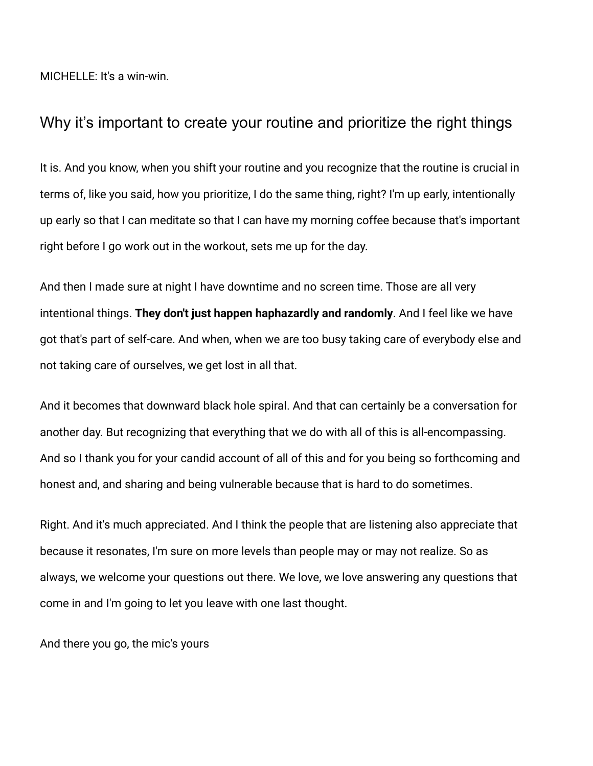MICHELLE: It's a win-win.

# Why it's important to create your routine and prioritize the right things

It is. And you know, when you shift your routine and you recognize that the routine is crucial in terms of, like you said, how you prioritize, I do the same thing, right? I'm up early, intentionally up early so that I can meditate so that I can have my morning coffee because that's important right before I go work out in the workout, sets me up for the day.

And then I made sure at night I have downtime and no screen time. Those are all very intentional things. **They don't just happen haphazardly and randomly**. And I feel like we have got that's part of self-care. And when, when we are too busy taking care of everybody else and not taking care of ourselves, we get lost in all that.

And it becomes that downward black hole spiral. And that can certainly be a conversation for another day. But recognizing that everything that we do with all of this is all-encompassing. And so I thank you for your candid account of all of this and for you being so forthcoming and honest and, and sharing and being vulnerable because that is hard to do sometimes.

Right. And it's much appreciated. And I think the people that are listening also appreciate that because it resonates, I'm sure on more levels than people may or may not realize. So as always, we welcome your questions out there. We love, we love answering any questions that come in and I'm going to let you leave with one last thought.

And there you go, the mic's yours